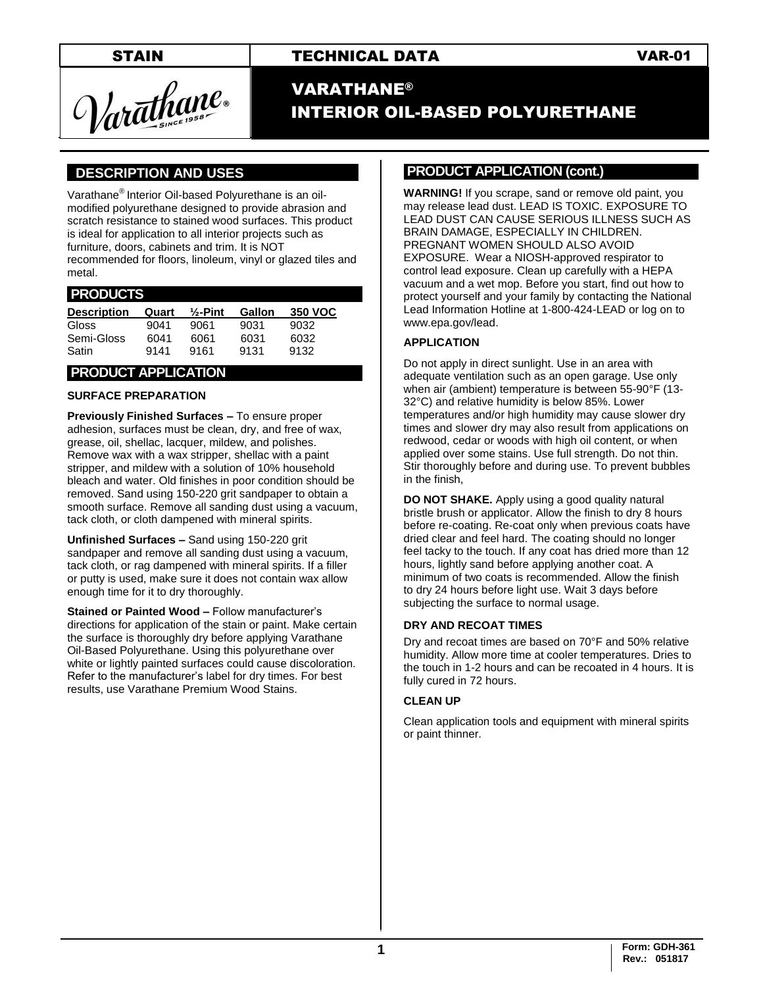STAIN TECHNICAL DATA VAR-01

Varathane.

# **VARATHANE®** INTERIOR OIL-BASED POLYURETHANE

## **].DESCRIPTION AND USES .**

Varathane® Interior Oil-based Polyurethane is an oilmodified polyurethane designed to provide abrasion and scratch resistance to stained wood surfaces. This product is ideal for application to all interior projects such as furniture, doors, cabinets and trim. It is NOT recommended for floors, linoleum, vinyl or glazed tiles and metal.

#### **.PRODUCTS .**

| <b>Description</b> | Quart | $\frac{1}{2}$ -Pint | Gallon | 350 VOC |
|--------------------|-------|---------------------|--------|---------|
| <b>Gloss</b>       | 9041  | 9061                | 9031   | 9032    |
| Semi-Gloss         | 6041  | 6061                | 6031   | 6032    |
| Satin              | 9141  | 9161                | 9131   | 9132    |

## **.PRODUCT APPLICATION .**

#### **SURFACE PREPARATION**

**Previously Finished Surfaces –** To ensure proper adhesion, surfaces must be clean, dry, and free of wax, grease, oil, shellac, lacquer, mildew, and polishes. Remove wax with a wax stripper, shellac with a paint stripper, and mildew with a solution of 10% household bleach and water. Old finishes in poor condition should be removed. Sand using 150-220 grit sandpaper to obtain a smooth surface. Remove all sanding dust using a vacuum, tack cloth, or cloth dampened with mineral spirits.

**Unfinished Surfaces –** Sand using 150-220 grit sandpaper and remove all sanding dust using a vacuum, tack cloth, or rag dampened with mineral spirits. If a filler or putty is used, make sure it does not contain wax allow enough time for it to dry thoroughly.

**Stained or Painted Wood –** Follow manufacturer's directions for application of the stain or paint. Make certain the surface is thoroughly dry before applying Varathane Oil-Based Polyurethane. Using this polyurethane over white or lightly painted surfaces could cause discoloration. Refer to the manufacturer's label for dry times. For best results, use Varathane Premium Wood Stains.

#### **PRODUCT APPLICATION (cont.) .**

**WARNING!** If you scrape, sand or remove old paint, you may release lead dust. LEAD IS TOXIC. EXPOSURE TO LEAD DUST CAN CAUSE SERIOUS ILLNESS SUCH AS BRAIN DAMAGE, ESPECIALLY IN CHILDREN. PREGNANT WOMEN SHOULD ALSO AVOID EXPOSURE. Wear a NIOSH-approved respirator to control lead exposure. Clean up carefully with a HEPA vacuum and a wet mop. Before you start, find out how to protect yourself and your family by contacting the National Lead Information Hotline at 1-800-424-LEAD or log on to [www.epa.gov/lead.](http://www.epa.gov/lead)

#### **APPLICATION**

Do not apply in direct sunlight. Use in an area with adequate ventilation such as an open garage. Use only when air (ambient) temperature is between 55-90°F (13- 32°C) and relative humidity is below 85%. Lower temperatures and/or high humidity may cause slower dry times and slower dry may also result from applications on redwood, cedar or woods with high oil content, or when applied over some stains. Use full strength. Do not thin. Stir thoroughly before and during use. To prevent bubbles in the finish,

**DO NOT SHAKE.** Apply using a good quality natural bristle brush or applicator. Allow the finish to dry 8 hours before re-coating. Re-coat only when previous coats have dried clear and feel hard. The coating should no longer feel tacky to the touch. If any coat has dried more than 12 hours, lightly sand before applying another coat. A minimum of two coats is recommended. Allow the finish to dry 24 hours before light use. Wait 3 days before subjecting the surface to normal usage.

#### **DRY AND RECOAT TIMES**

Dry and recoat times are based on 70°F and 50% relative humidity. Allow more time at cooler temperatures. Dries to the touch in 1-2 hours and can be recoated in 4 hours. It is fully cured in 72 hours.

#### **CLEAN UP**

Clean application tools and equipment with mineral spirits or paint thinner.